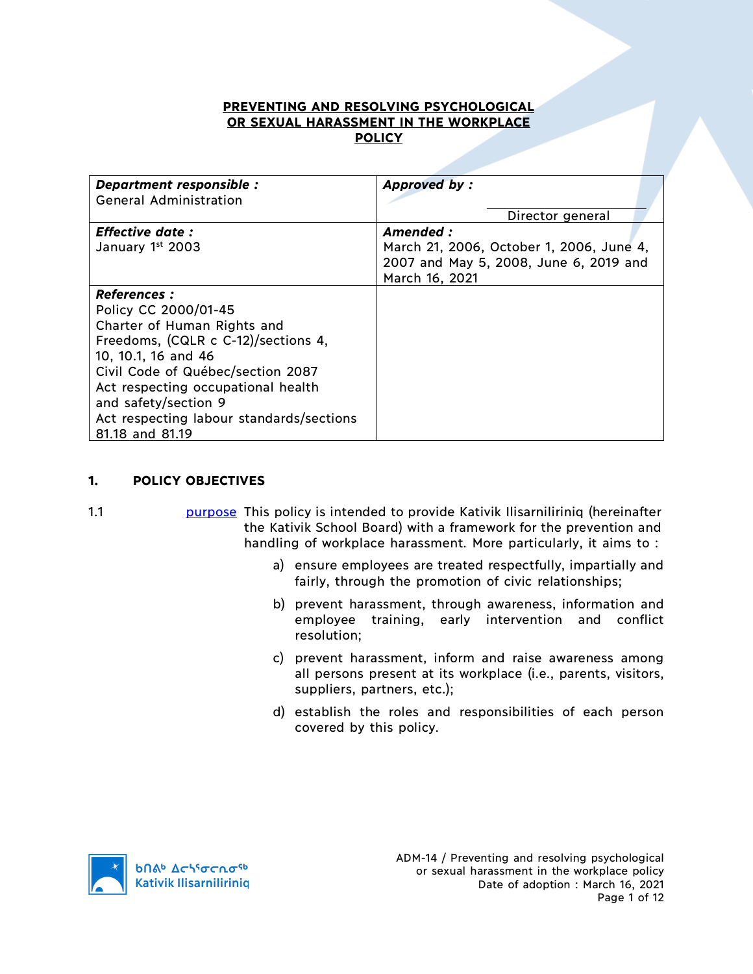## **PREVENTING AND RESOLVING PSYCHOLOGICAL OR SEXUAL HARASSMENT IN THE WORKPLACE POLICY**

| Department responsible :<br><b>General Administration</b>                                                                                                                                                                                                                                                  | <b>Approved by:</b>                                                                                                                  |
|------------------------------------------------------------------------------------------------------------------------------------------------------------------------------------------------------------------------------------------------------------------------------------------------------------|--------------------------------------------------------------------------------------------------------------------------------------|
| <b>Effective date :</b><br>January 1st 2003                                                                                                                                                                                                                                                                | Director general<br>Amended:<br>March 21, 2006, October 1, 2006, June 4,<br>2007 and May 5, 2008, June 6, 2019 and<br>March 16, 2021 |
| <b>References :</b><br>Policy CC 2000/01-45<br>Charter of Human Rights and<br>Freedoms, (CQLR c C-12)/sections 4,<br>10, 10.1, 16 and 46<br>Civil Code of Québec/section 2087<br>Act respecting occupational health<br>and safety/section 9<br>Act respecting labour standards/sections<br>81.18 and 81.19 |                                                                                                                                      |

### **1. POLICY OBJECTIVES**

1.1 purpose This policy is intended to provide Kativik Ilisarniliriniq (hereinafter the Kativik School Board) with a framework for the prevention and handling of workplace harassment. More particularly, it aims to :

- a) ensure employees are treated respectfully, impartially and fairly, through the promotion of civic relationships;
- b) prevent harassment, through awareness, information and employee training, early intervention and conflict resolution;
- c) prevent harassment, inform and raise awareness among all persons present at its workplace (i.e., parents, visitors, suppliers, partners, etc.);
- d) establish the roles and responsibilities of each person covered by this policy.

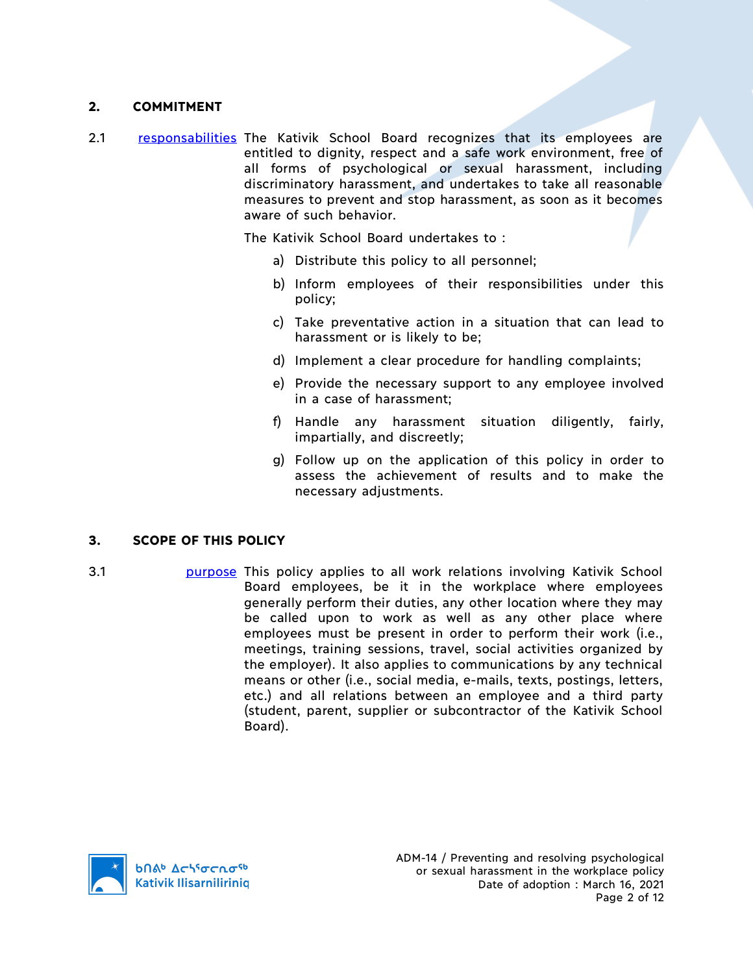## **2. COMMITMENT**

2.1 responsabilities The Kativik School Board recognizes that its employees are entitled to dignity, respect and a safe work environment, free of all forms of psychological or sexual harassment, including discriminatory harassment, and undertakes to take all reasonable measures to prevent and stop harassment, as soon as it becomes aware of such behavior.

The Kativik School Board undertakes to :

- a) Distribute this policy to all personnel;
- b) Inform employees of their responsibilities under this policy;
- c) Take preventative action in a situation that can lead to harassment or is likely to be;
- d) Implement a clear procedure for handling complaints;
- e) Provide the necessary support to any employee involved in a case of harassment;
- f) Handle any harassment situation diligently, fairly, impartially, and discreetly;
- g) Follow up on the application of this policy in order to assess the achievement of results and to make the necessary adjustments.

#### **3. SCOPE OF THIS POLICY**

3.1 **purpose** This policy applies to all work relations involving Kativik School Board employees, be it in the workplace where employees generally perform their duties, any other location where they may be called upon to work as well as any other place where employees must be present in order to perform their work (i.e., meetings, training sessions, travel, social activities organized by the employer). It also applies to communications by any technical means or other (i.e., social media, e-mails, texts, postings, letters, etc.) and all relations between an employee and a third party (student, parent, supplier or subcontractor of the Kativik School Board).

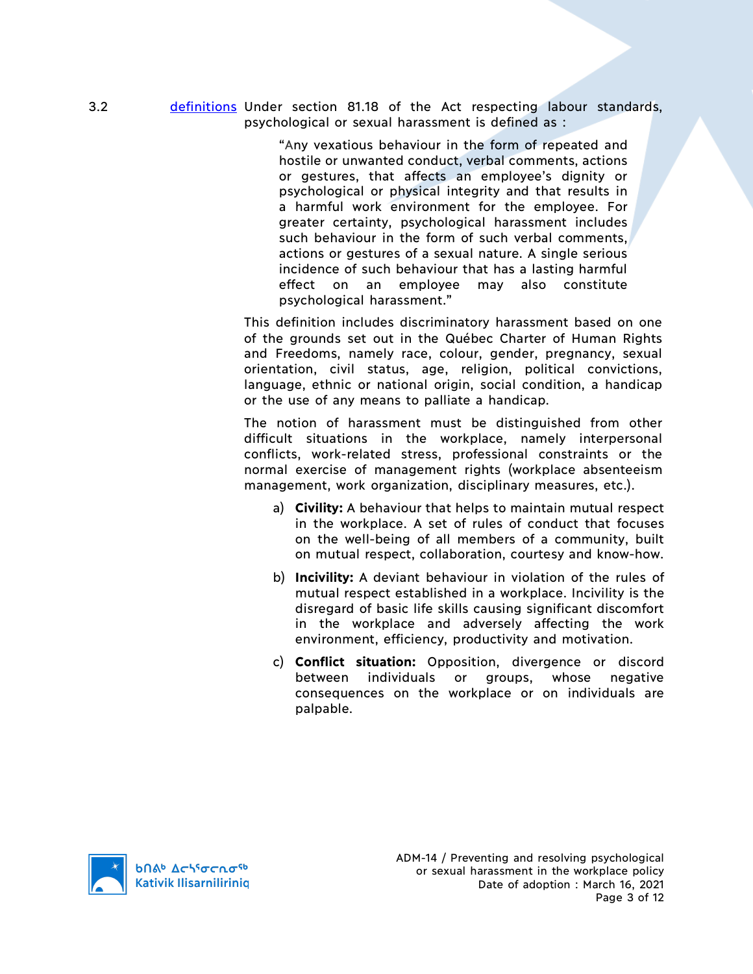3.2 definitions Under section 81.18 of the Act respecting labour standards, psychological or sexual harassment is defined as :

> "Any vexatious behaviour in the form of repeated and hostile or unwanted conduct, verbal comments, actions or gestures, that affects an employee's dignity or psychological or physical integrity and that results in a harmful work environment for the employee. For greater certainty, psychological harassment includes such behaviour in the form of such verbal comments, actions or gestures of a sexual nature. A single serious incidence of such behaviour that has a lasting harmful effect on an employee may also constitute psychological harassment."

This definition includes discriminatory harassment based on one of the grounds set out in the Québec Charter of Human Rights and Freedoms, namely race, colour, gender, pregnancy, sexual orientation, civil status, age, religion, political convictions, language, ethnic or national origin, social condition, a handicap or the use of any means to palliate a handicap.

The notion of harassment must be distinguished from other difficult situations in the workplace, namely interpersonal conflicts, work-related stress, professional constraints or the normal exercise of management rights (workplace absenteeism management, work organization, disciplinary measures, etc.).

- a) **Civility:** A behaviour that helps to maintain mutual respect in the workplace. A set of rules of conduct that focuses on the well-being of all members of a community, built on mutual respect, collaboration, courtesy and know-how.
- b) **Incivility:** A deviant behaviour in violation of the rules of mutual respect established in a workplace. Incivility is the disregard of basic life skills causing significant discomfort in the workplace and adversely affecting the work environment, efficiency, productivity and motivation.
- c) **Conflict situation:** Opposition, divergence or discord between individuals or groups, whose negative consequences on the workplace or on individuals are palpable.

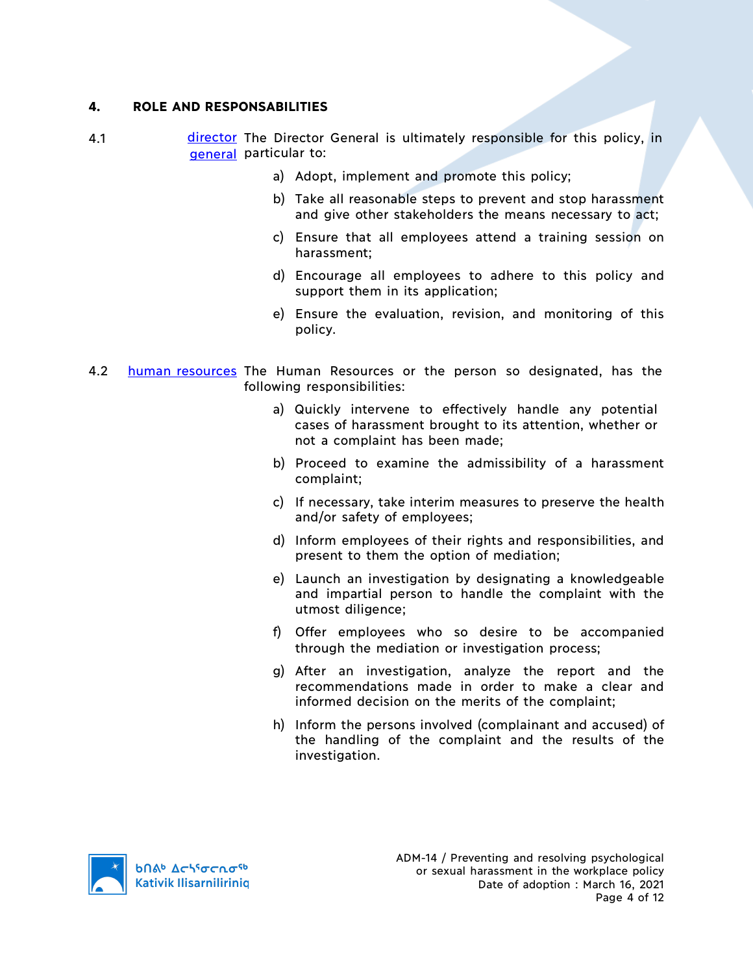### **4. ROLE AND RESPONSABILITIES**

- 4.1 **director** The Director General is ultimately responsible for this policy, in general particular to:
	- a) Adopt, implement and promote this policy;
	- b) Take all reasonable steps to prevent and stop harassment and give other stakeholders the means necessary to act;
	- c) Ensure that all employees attend a training session on harassment;
	- d) Encourage all employees to adhere to this policy and support them in its application;
	- e) Ensure the evaluation, revision, and monitoring of this policy.
- 4.2 human resources The Human Resources or the person so designated, has the following responsibilities:
	- a) Quickly intervene to effectively handle any potential cases of harassment brought to its attention, whether or not a complaint has been made;
	- b) Proceed to examine the admissibility of a harassment complaint;
	- c) If necessary, take interim measures to preserve the health and/or safety of employees;
	- d) Inform employees of their rights and responsibilities, and present to them the option of mediation;
	- e) Launch an investigation by designating a knowledgeable and impartial person to handle the complaint with the utmost diligence;
	- f) Offer employees who so desire to be accompanied through the mediation or investigation process;
	- g) After an investigation, analyze the report and the recommendations made in order to make a clear and informed decision on the merits of the complaint;
	- h) Inform the persons involved (complainant and accused) of the handling of the complaint and the results of the investigation.

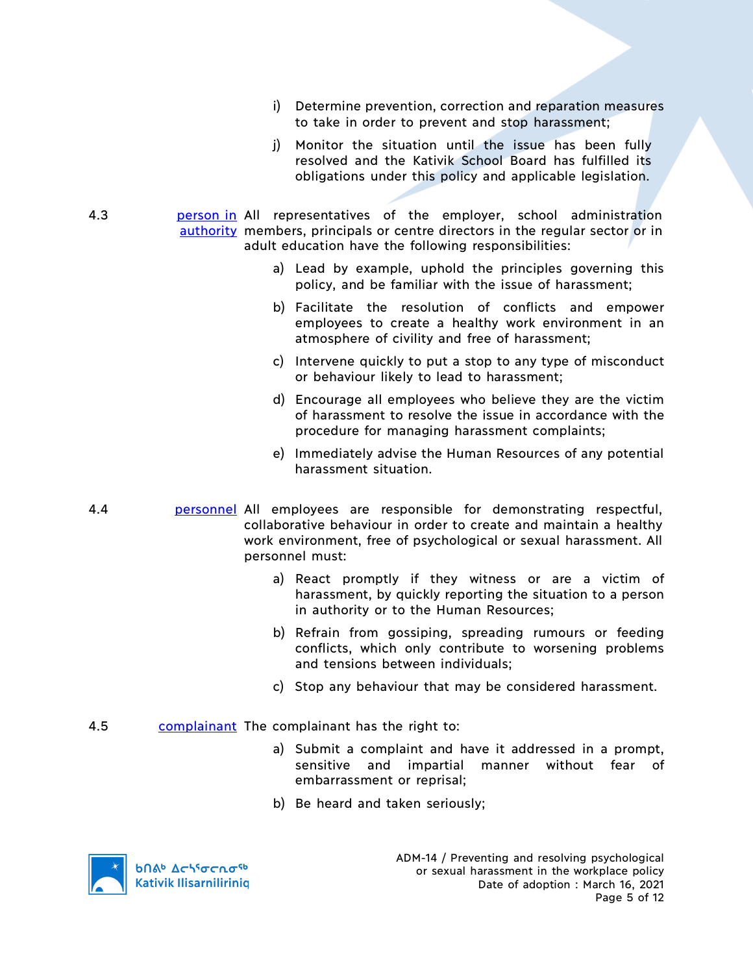- i) Determine prevention, correction and reparation measures to take in order to prevent and stop harassment;
- j) Monitor the situation until the issue has been fully resolved and the Kativik School Board has fulfilled its obligations under this policy and applicable legislation.
- 4.3 **person in All representatives of the employer, school administration** authority members, principals or centre directors in the regular sector or in adult education have the following responsibilities:
	- a) Lead by example, uphold the principles governing this policy, and be familiar with the issue of harassment;
	- b) Facilitate the resolution of conflicts and empower employees to create a healthy work environment in an atmosphere of civility and free of harassment;
	- c) Intervene quickly to put a stop to any type of misconduct or behaviour likely to lead to harassment;
	- d) Encourage all employees who believe they are the victim of harassment to resolve the issue in accordance with the procedure for managing harassment complaints;
	- e) Immediately advise the Human Resources of any potential harassment situation.
- 4.4 personnel All employees are responsible for demonstrating respectful, collaborative behaviour in order to create and maintain a healthy work environment, free of psychological or sexual harassment. All personnel must:
	- a) React promptly if they witness or are a victim of harassment, by quickly reporting the situation to a person in authority or to the Human Resources;
	- b) Refrain from gossiping, spreading rumours or feeding conflicts, which only contribute to worsening problems and tensions between individuals;
	- c) Stop any behaviour that may be considered harassment.
- 4.5 complainant The complainant has the right to:
	- a) Submit a complaint and have it addressed in a prompt, sensitive and impartial manner without fear of embarrassment or reprisal;
	- b) Be heard and taken seriously;

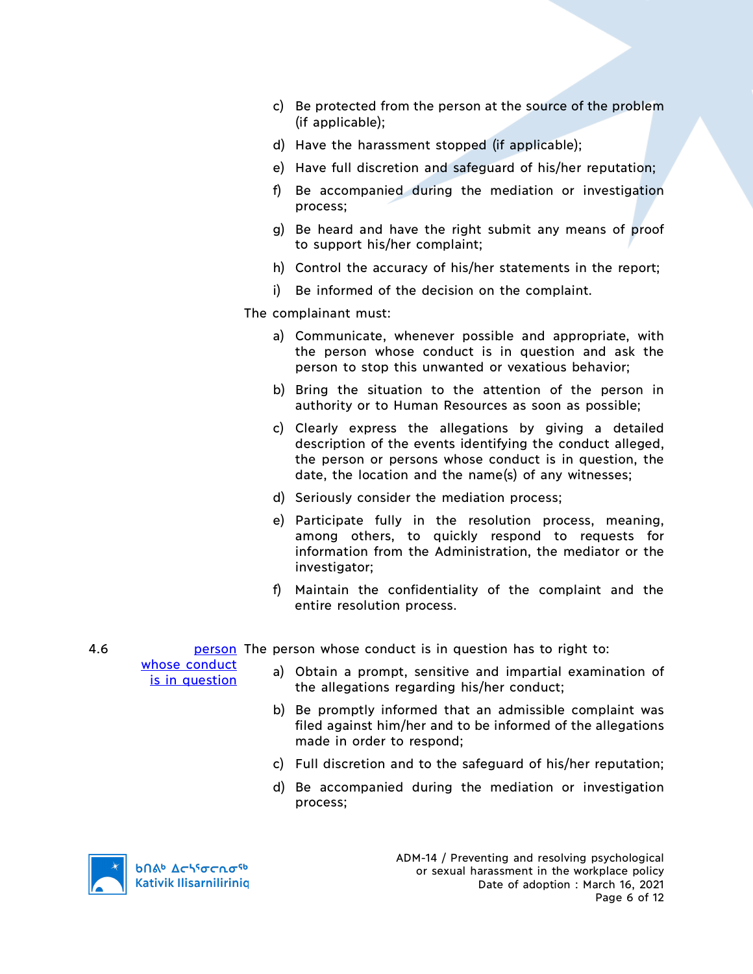- c) Be protected from the person at the source of the problem (if applicable);
- d) Have the harassment stopped (if applicable);
- e) Have full discretion and safeguard of his/her reputation;
- f) Be accompanied during the mediation or investigation process;
- g) Be heard and have the right submit any means of proof to support his/her complaint;
- h) Control the accuracy of his/her statements in the report;
- i) Be informed of the decision on the complaint.

The complainant must:

- a) Communicate, whenever possible and appropriate, with the person whose conduct is in question and ask the person to stop this unwanted or vexatious behavior;
- b) Bring the situation to the attention of the person in authority or to Human Resources as soon as possible;
- c) Clearly express the allegations by giving a detailed description of the events identifying the conduct alleged, the person or persons whose conduct is in question, the date, the location and the name(s) of any witnesses;
- d) Seriously consider the mediation process;
- e) Participate fully in the resolution process, meaning, among others, to quickly respond to requests for information from the Administration, the mediator or the investigator;
- f) Maintain the confidentiality of the complaint and the entire resolution process.

4.6 **person** The person whose conduct is in question has to right to:

whose conduct is in question

- a) Obtain a prompt, sensitive and impartial examination of the allegations regarding his/her conduct;
- b) Be promptly informed that an admissible complaint was filed against him/her and to be informed of the allegations made in order to respond;
- c) Full discretion and to the safeguard of his/her reputation;
- d) Be accompanied during the mediation or investigation process;

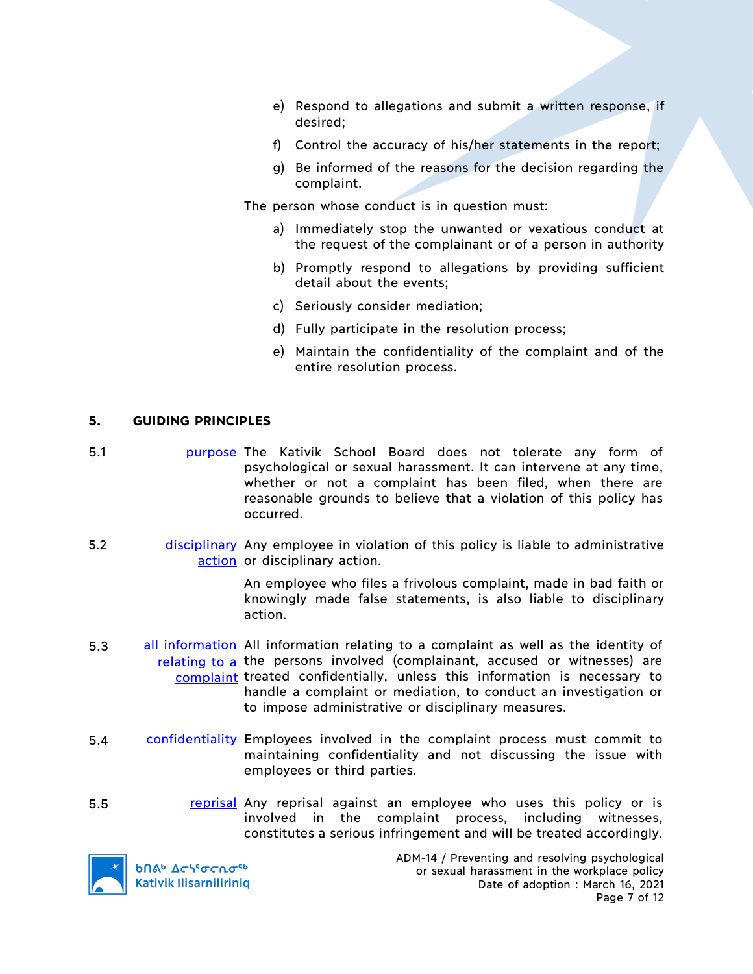- e) Respond to allegations and submit a written response, if desired;
- f) Control the accuracy of his/her statements in the report;
- g) Be informed of the reasons for the decision regarding the complaint.

The person whose conduct is in question must:

- a) Immediately stop the unwanted or vexatious conduct at the request of the complainant or of a person in authority
- b) Promptly respond to allegations by providing sufficient detail about the events;
- c) Seriously consider mediation;
- d) Fully participate in the resolution process;
- e) Maintain the confidentiality of the complaint and of the entire resolution process.

## **5. GUIDING PRINCIPLES**

- 5.1 purpose The Kativik School Board does not tolerate any form of psychological or sexual harassment. It can intervene at any time, whether or not a complaint has been filed, when there are reasonable grounds to believe that a violation of this policy has occurred.
- 5.2 **disciplinary** Any employee in violation of this policy is liable to administrative action or disciplinary action.

An employee who files a frivolous complaint, made in bad faith or knowingly made false statements, is also liable to disciplinary action.

- 5.3 all information All information relating to a complaint as well as the identity of relating to a the persons involved (complainant, accused or witnesses) are complaint treated confidentially, unless this information is necessary to handle a complaint or mediation, to conduct an investigation or to impose administrative or disciplinary measures.
- 5.4 confidentiality Employees involved in the complaint process must commit to maintaining confidentiality and not discussing the issue with employees or third parties.
- 5.5 **reprisal Any reprisal against an employee who uses this policy or is** involved in the complaint process, including witnesses, constitutes a serious infringement and will be treated accordingly.



**b**በል<sup>b</sup> Δς<sup>56</sup>σς λσ<sup>ς6</sup> **Kativik Ilisarnilirinig**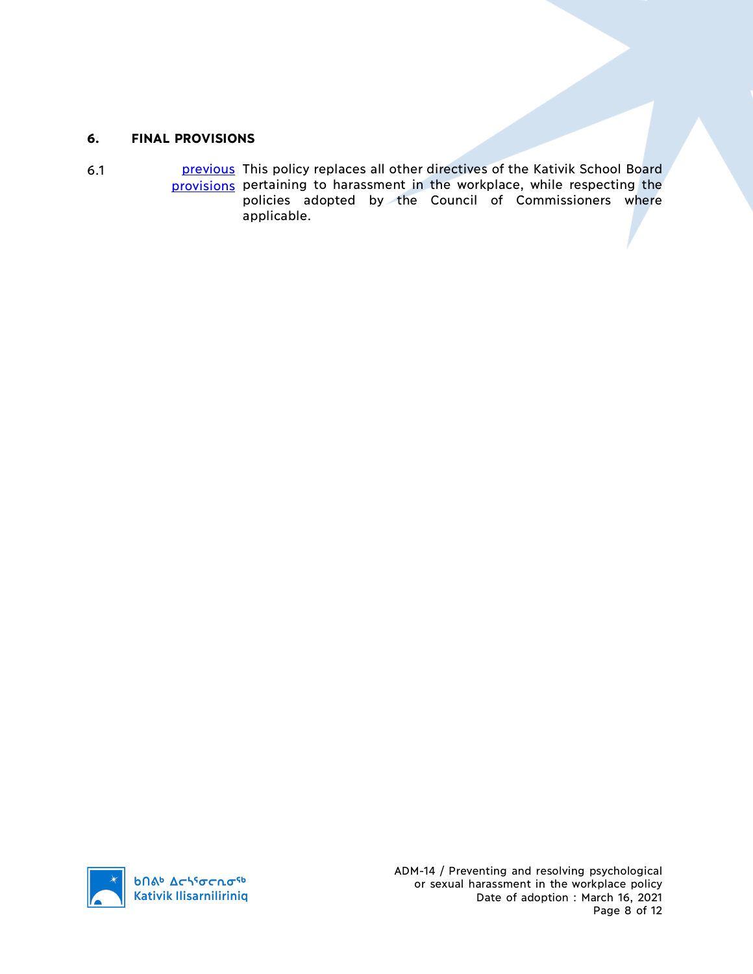# **6. FINAL PROVISIONS**

6.1 **previous** This policy replaces all other directives of the Kativik School Board provisions pertaining to harassment in the workplace, while respecting the policies adopted by the Council of Commissioners where applicable.

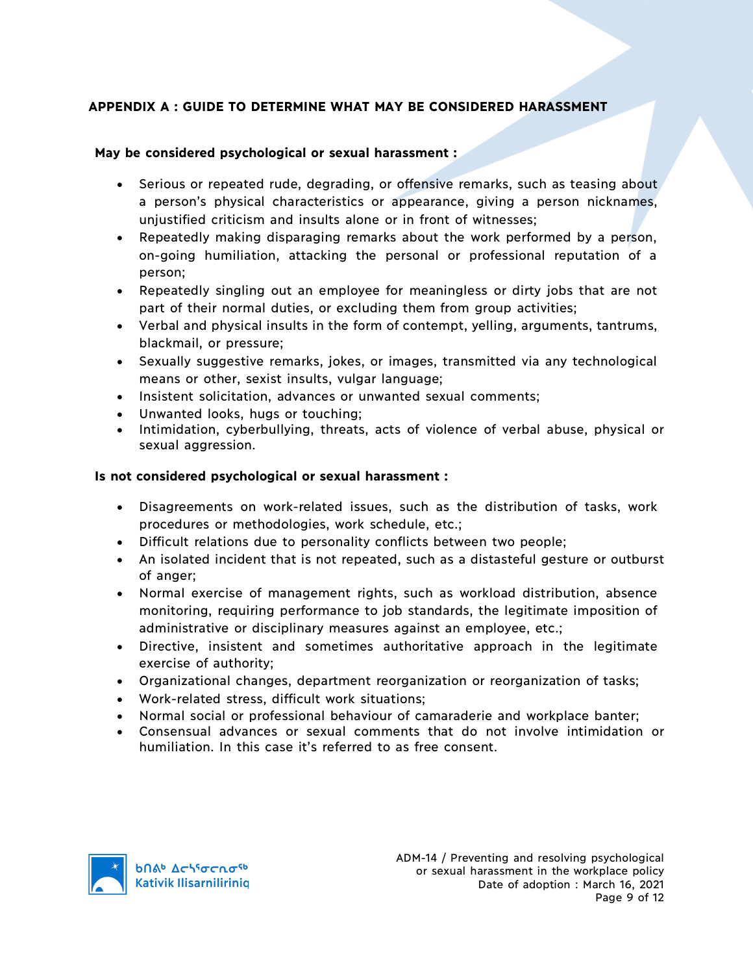# **APPENDIX A : GUIDE TO DETERMINE WHAT MAY BE CONSIDERED HARASSMENT**

## **May be considered psychological or sexual harassment :**

- Serious or repeated rude, degrading, or offensive remarks, such as teasing about a person's physical characteristics or appearance, giving a person nicknames, unjustified criticism and insults alone or in front of witnesses;
- Repeatedly making disparaging remarks about the work performed by a person, on-going humiliation, attacking the personal or professional reputation of a person;
- Repeatedly singling out an employee for meaningless or dirty jobs that are not part of their normal duties, or excluding them from group activities;
- Verbal and physical insults in the form of contempt, yelling, arguments, tantrums, blackmail, or pressure;
- Sexually suggestive remarks, jokes, or images, transmitted via any technological means or other, sexist insults, vulgar language;
- Insistent solicitation, advances or unwanted sexual comments;
- Unwanted looks, hugs or touching;
- Intimidation, cyberbullying, threats, acts of violence of verbal abuse, physical or sexual aggression.

## **Is not considered psychological or sexual harassment :**

- Disagreements on work-related issues, such as the distribution of tasks, work procedures or methodologies, work schedule, etc.;
- Difficult relations due to personality conflicts between two people;
- An isolated incident that is not repeated, such as a distasteful gesture or outburst of anger;
- Normal exercise of management rights, such as workload distribution, absence monitoring, requiring performance to job standards, the legitimate imposition of administrative or disciplinary measures against an employee, etc.;
- Directive, insistent and sometimes authoritative approach in the legitimate exercise of authority;
- Organizational changes, department reorganization or reorganization of tasks;
- Work-related stress, difficult work situations;
- Normal social or professional behaviour of camaraderie and workplace banter;
- Consensual advances or sexual comments that do not involve intimidation or humiliation. In this case it's referred to as free consent.

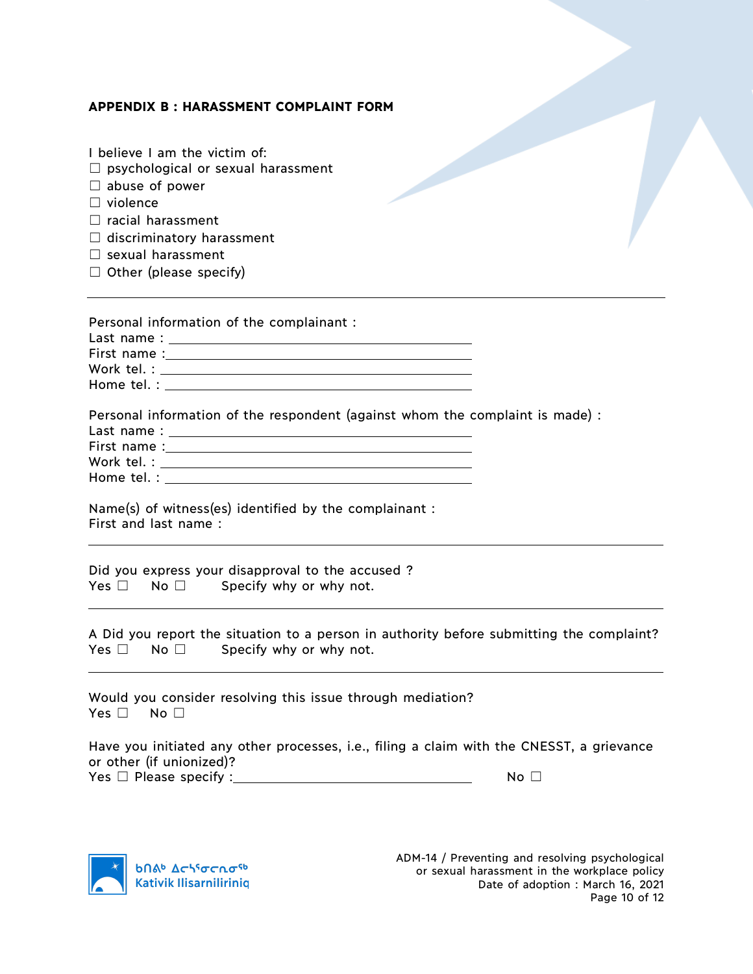### **APPENDIX B : HARASSMENT COMPLAINT FORM**

I believe I am the victim of:

| $\Box$ psychological or sexual harassment |  |
|-------------------------------------------|--|
| $\Box$ abuse of power                     |  |
| $\Box$ violence                           |  |
| $\Box$ racial harassment                  |  |
| $\Box$ discriminatory harassment          |  |
| $\Box$ sexual harassment                  |  |
| $\Box$ Other (please specify)             |  |
|                                           |  |
|                                           |  |
| Personal information of the complainant : |  |
| Last name:                                |  |
| First name :                              |  |

Work tel. : Home tel. : North and the set of the set of the set of the set of the set of the set of the set of the set of the set of the set of the set of the set of the set of the set of the set of the set of the set of the set of th

Personal information of the respondent (against whom the complaint is made) :

|             | Work tel. : and the set of the set of the set of the set of the set of the set of the set of the set of the set of the set of the set of the set of the set of the set of the set of the set of the set of the set of the set |  |
|-------------|-------------------------------------------------------------------------------------------------------------------------------------------------------------------------------------------------------------------------------|--|
| Home tel. : |                                                                                                                                                                                                                               |  |

Name(s) of witness(es) identified by the complainant : First and last name :

Did you express your disapproval to the accused ?  $Yes \Box \quad No \Box$  Specify why or why not.

A Did you report the situation to a person in authority before submitting the complaint? Yes  $\Box$  No  $\Box$  Specify why or why not.

Would you consider resolving this issue through mediation? Yes □ No □

Have you initiated any other processes, i.e., filing a claim with the CNESST, a grievance or other (if unionized)? Yes ☐ Please specify : No ☐

**b** *Δε*γίσερσ<sup>ς</sup> **Kativik Ilisarniliriniq**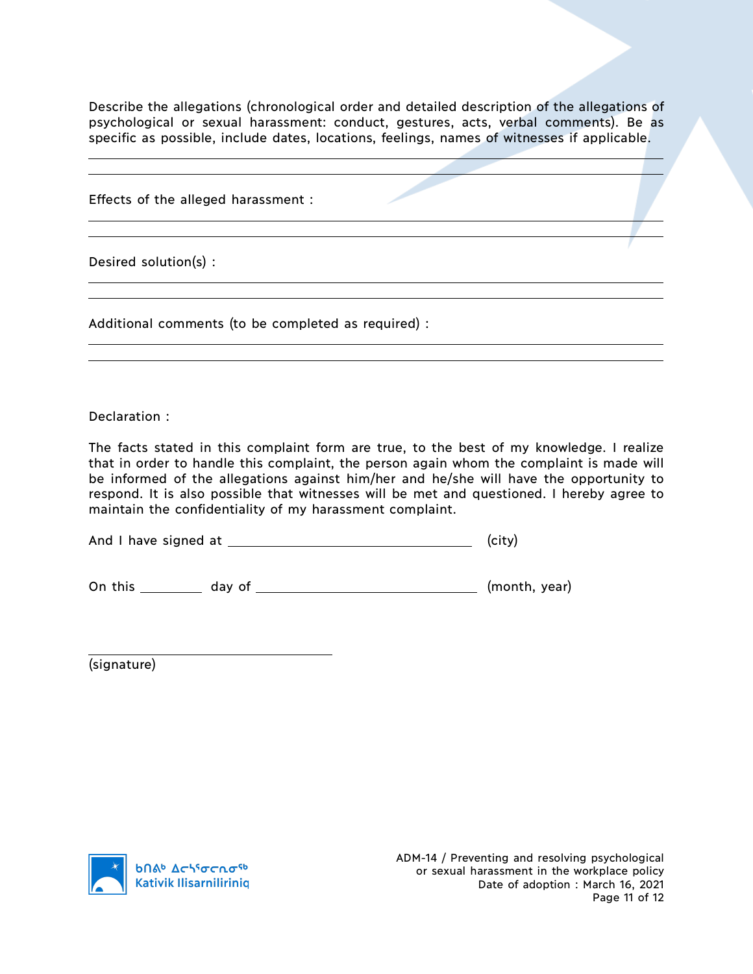Describe the allegations (chronological order and detailed description of the allegations of psychological or sexual harassment: conduct, gestures, acts, verbal comments). Be as specific as possible, include dates, locations, feelings, names of witnesses if applicable.

Effects of the alleged harassment :

Desired solution(s) :

Additional comments (to be completed as required) :

Declaration :

The facts stated in this complaint form are true, to the best of my knowledge. I realize that in order to handle this complaint, the person again whom the complaint is made will be informed of the allegations against him/her and he/she will have the opportunity to respond. It is also possible that witnesses will be met and questioned. I hereby agree to maintain the confidentiality of my harassment complaint.

And I have signed at (city)

On this day of (month, year)

(signature)